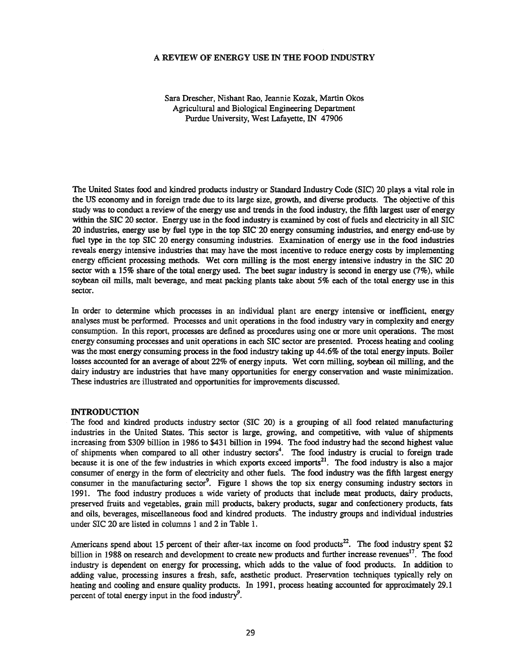#### A REVIEW OF ENERGY USE IN THE FOOD INDUSTRY

Sara Drescher, Nishant Rao, Jeannie Kozak, Martin Okos Agricultural and Biological Engineering Department Purdue University, West Lafayette, IN 47906

The United States food and kindred products industry or Standard Industry Code (SIC) 20 plays a vital role in the US economy and in foreign trade due to its large size, growth, and diverse products. The objective of this study was to conduct a review of the energy use and trends in the food industry, the fifth largest user of energy within the SIC 20 sector. Energy use in the food industry is examined by cost of fuels and electricity in all SIC 20 industries, energy use by fuel type in the top SIC-20 energy consuming industries, and energy end-use by fuel type in the top SIC 20 energy consuming industries. Examination of energy use in the food industries reveals energy intensive industries that may have the most incentive to reduce energy costs by implementing energy efficient processing methods. Wet corn milling is the most energy intensive industry in the SIC 20 sector with a 15% share of the total energy used. The beet sugar industry is second in energy use (7%), while soybean oil mills, malt beverage, and meat packing plants take about 5% each of the total energy use in this sector.

In order to determine which processes in an individual plant are energy intensive or inefficient, energy analyses must be performed. Processes and unit operations in the food industry vary in complexity and energy consumption. In this report, processes are defined as procedures using one or more unit operations. The most energy consuming processes and unit operations in each SIC sector are presented. Process heating and cooling was the most energy consuming process in the food industry taking up 44.6% of the total energy inputs. Boiler losses accounted for an average of about 22% of energy inputs. Wet com milling, soybean oil milling, and the dairy industry are industries that have many opportunities for energy conservation and waste minimization. These industries are illustrated and opportunities for improvements discussed.

#### INTRODUCTION

The food and kindred products industry sector (SIC 20) is a grouping of all food related manufacturing industries in the United States. This sector is large, growing, and competitive, with value of shipments increasing from \$309 billion in 1986 to \$431 billion in 1994. The food industry had the second highest value of shipments when compared to all other industry sectors<sup>4</sup>. The food industry is crucial to foreign trade because it is one of the few industries in which exports exceed imports<sup>21</sup>. The food industry is also a major consumer of energy in the form of electricity and other fuels. The food industry was the fifth largest energy consumer in the manufacturing sector<sup>9</sup>. Figure 1 shows the top six energy consuming industry sectors in 1991. The food industry produces a wide variety of products that include meat products, dairy products, preserved fruits and vegetables, grain mill products, bakery products, sugar and confectionery products, fats and oils, beverages, miscellaneous food and kindred products. The industry groups and individual industries under SIC 20 are listed in columns 1 and 2 in Table 1.

Americans spend about 15 percent of their after-tax income on food products<sup>22</sup>. The food industry spent \$2 billion in 1988 on research and development to create new products and further increase revenues<sup>17</sup>. The food industry is dependent on energy for processing, which adds to the value of food products. In addition to adding value, processing insures a fresh, safe, aesthetic product. Preservation techniques typically rely on heating and cooling and ensure quality products. In 1991, process heating accounted for approximately 29.1 percent of total energy input in the food industry $\theta$ .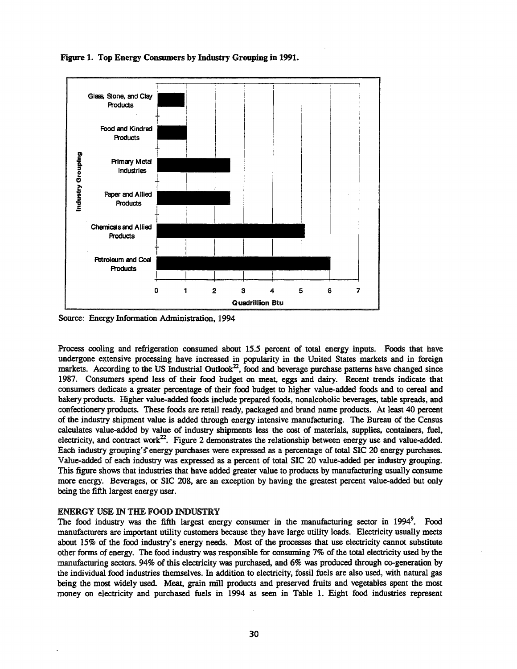

Figure 1. Top Energy Consumers by Industry Grouping in 1991.

Source: Energy Information Administration, 1994

Process cooling and refrigeration consumed about 15.5 percent of total energy inputs. Foods that have undergone extensive processing have increased in popularity in the United States markets and in foreign markets. According to the US Industrial Outlook<sup>22</sup>, food and beverage purchase patterns have changed since 1987. Consumers spend less of their food budget on meat, eggs and dairy. Recent trends indicate that consumers dedicate a greater percentage of their food budget to higher value-added foods and to cereal and bakery products. Higher value-added foods include prepared foods, nonalcoholic beverages, table spreads, and confectionery products. These foods are retail ready, packaged and brand name products. At least 40 percent of the industry shipment value is added through energy intensive manufacturing. The Bureau of the Census calculates value-added by value of industry shipments less the cost of materials, supplies, containers, fuel, electricity, and contract work<sup>22</sup>. Figure 2 demonstrates the relationship between energy use and value-added. Each industry grouping's energy purchases were expressed as a percentage of total SIC 20 energy purchases. Value-added of each industry was expressed as a percent of total SIC 20 value-added per industry grouping. This figure shows that industries that have added greater value to products by manufacturing usually consume more energy. Beverages, or SIC 208, are an exception by having the greatest percent value-added but only being the fifth largest energy user.

### ENERGY USE IN THE FOOD INDUSTRY

The food industry was the fifth largest energy consumer in the manufacturing sector in 1994<sup>9</sup>. Food manufacturers are important utility customers because they have large utility loads. Electricity usually meets about 15% of the food industry's energy needs. Most of the processes that use electricity cannot substitute other forms of energy. The food industry was responsible for consuming 7% of the total electricity used by the manufacturing sectors. 94% of this electricity was purchased, and 6% was produced through co-generation by the individual food industries themselves. In addition to electricity, fossil fuels are also used, with natural gas being the most widely used. Meat, grain mill products and preserved fruits and vegetables spent the most money on electricity and purchased fuels in 1994 as seen in Table 1. Eight food industries represent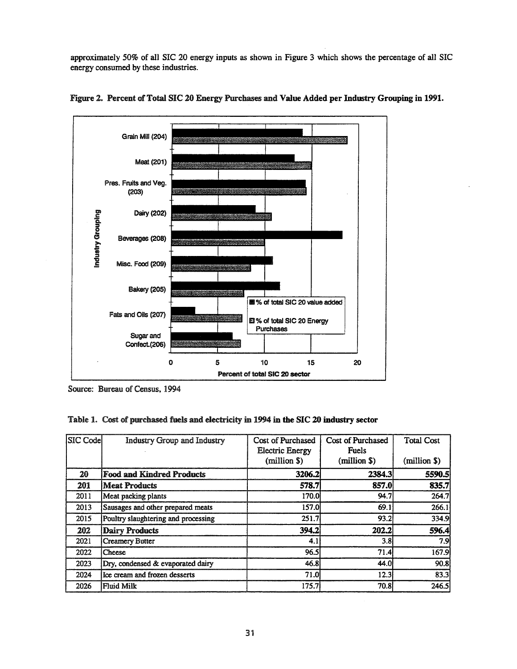approximately 50% of all SIC 20 energy inputs as shown in Figure 3 which shows the percentage of all SIC energy consumed by these industries.





Source: Bureau of Census, 1994

# Table 1. Cost of purchased fuels and electricity in 1994 in the SIC 20 industry sector

| SIC Codel | <b>Industry Group and Industry</b>  | Cost of Purchased<br><b>Electric Energy</b><br>(million \$) | Cost of Purchased<br><b>Fuels</b><br>(million \$) | <b>Total Cost</b><br>(million \$) |
|-----------|-------------------------------------|-------------------------------------------------------------|---------------------------------------------------|-----------------------------------|
| 20        | <b>Food and Kindred Products</b>    | 3206.2                                                      | 2384.3                                            | 5590.5                            |
| 201       | Meat Products                       | 578.7                                                       | 857.0                                             | 835.7                             |
| 2011      | Meat packing plants                 | 170.0                                                       | 94.7                                              | 264.7                             |
| 2013      | Sausages and other prepared meats   | 157.0                                                       | 69.1                                              | 266.1                             |
| 2015      | Poultry slaughtering and processing | 251.7                                                       | 93.2                                              | 334.9                             |
| 202       | <b>Dairy Products</b>               | 394.2                                                       | 202.2                                             | 596.4                             |
| 2021      | <b>Creamery Butter</b>              | 4.1                                                         | 3.8                                               | 7.9                               |
| 2022      | Cheese                              | 96.5                                                        | 71.4                                              | 167.9                             |
| 2023      | Dry, condensed & evaporated dairy   | 46.8                                                        | 44.0                                              | 90.8                              |
| 2024      | Ice cream and frozen desserts       | 71.0                                                        | 12.3                                              | 83.3                              |
| 2026      | Fluid Milk                          | 175.7                                                       | 70.8                                              | 246.5                             |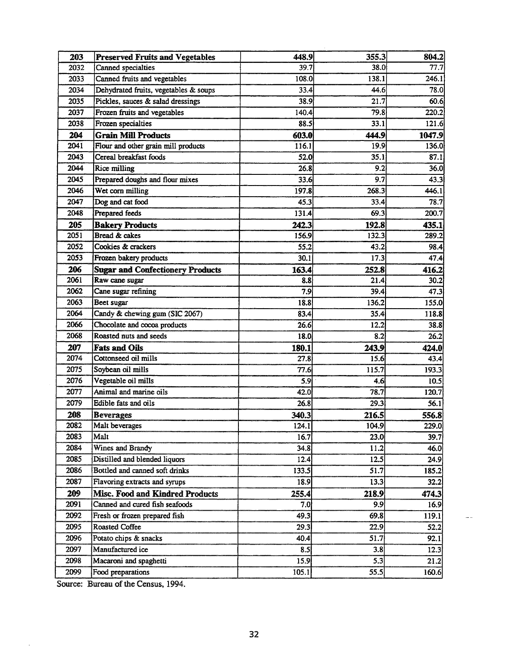| 203  | <b>Preserved Fruits and Vegetables</b>  | 448.9 | 355.3 | 804.2  |
|------|-----------------------------------------|-------|-------|--------|
| 2032 | Canned specialties                      | 39.7  | 38.0  | 77.7   |
| 2033 | Canned fruits and vegetables            | 108.0 | 138.1 | 246.1  |
| 2034 | Dehydrated fruits, vegetables & soups   | 33.4  | 44.6  | 78.0   |
| 2035 | Pickles, sauces & salad dressings       | 38.9  | 21.7  | 60.6   |
| 2037 | Frozen fruits and vegetables            | 140.4 | 79.8  | 220.2  |
| 2038 | Frozen specialties                      | 88.5  | 33.1  | 121.6  |
| 204  | <b>Grain Mill Products</b>              | 603.0 | 444.9 | 1047.9 |
| 2041 | Flour and other grain mill products     | 116.1 | 19.9  | 136.0  |
| 2043 | Cereal breakfast foods                  | 52.0  | 35.1  | 87.1   |
| 2044 | Rice milling                            | 26.8  | 9.2   | 36.0   |
| 2045 | Prepared doughs and flour mixes         | 33.6  | 9.7   | 43.3   |
| 2046 | Wet corn milling                        | 197.8 | 268.3 | 446.1  |
| 2047 | Dog and cat food                        | 45.3  | 33.4  | 78.7   |
| 2048 | Prepared feeds                          | 131.4 | 69.3  | 200.7  |
| 205  | <b>Bakery Products</b>                  | 242.3 | 192.8 | 435.1  |
| 2051 | Bread & cakes                           | 156.9 | 132.3 | 289.2  |
| 2052 | Cookies & crackers                      | 55.2  | 43.2  | 98.4   |
| 2053 | Frozen bakery products                  | 30.1  | 17.3  | 47.4   |
| 206  | <b>Sugar and Confectionery Products</b> | 163.4 | 252.8 | 416.2  |
| 2061 | Raw cane sugar                          | 8.8   | 21.4  | 30.2   |
| 2062 | Cane sugar refining                     | 7.9   | 39.4  | 47.3   |
| 2063 | Beet sugar                              | 18.8  | 136.2 | 155.0  |
| 2064 | Candy & chewing gum (SIC 2067)          | 83.4  | 35.4  | 118.8  |
| 2066 | Chocolate and cocoa products            | 26.6  | 12.2  | 38.8   |
| 2068 | Roasted nuts and seeds                  | 18.0  | 8.2   | 26.2   |
| 207  | <b>Fats and Oils</b>                    | 180.1 | 243.9 | 424.0  |
| 2074 | Cottonseed oil mills                    | 27.8  | 15.6  | 43.4   |
| 2075 | Soybean oil mills                       | 77.6  | 115.7 | 193.3  |
| 2076 | Vegetable oil mills                     | 5.9   | 4.6   | 10.5   |
| 2077 | Animal and marine oils                  | 42.0  | 78.7  | 120.7  |
| 2079 | Edible fats and oils                    | 26.8  | 29.3  | 56.1   |
| 208  | <b>Beverages</b>                        | 340.3 | 216.5 | 556.8  |
| 2082 | Malt beverages                          | 124.1 | 104.9 | 229.0  |
| 2083 | Malt                                    | 16.7  | 23.0  | 39.7   |
| 2084 | Wines and Brandy                        | 34.8  | 11.2  | 46.0   |
| 2085 | Distilled and blended liquors           | 12.4  | 12.5  | 24.9   |
| 2086 | Bottled and canned soft drinks          | 133.5 | 51.7  | 185.2  |
| 2087 | Flavoring extracts and syrups           | 18.9  | 13.3  | 32.2   |
| 209  | Misc. Food and Kindred Products         | 255.4 | 218.9 | 474.3  |
| 2091 | Canned and cured fish seafoods          | 7.0   | 9.9   | 16.9   |
| 2092 | Fresh or frozen prepared fish           | 49.3  | 69.8  | 119.1  |
| 2095 | <b>Roasted Coffee</b>                   | 29.3  | 22.9  | 52.2   |
| 2096 | Potato chips & snacks                   | 40.4  | 51.7  | 92.1   |
| 2097 | Manufactured ice                        | 8.5   | 3.8   | 12.3   |
| 2098 | Macaroni and spaghetti                  | 15.9  | 5.3   | 21.2   |
| 2099 | Food preparations                       | 105.1 | 55.5  | 160.6  |

Source: Bureau of the Census, 1994.

 $\ddot{\phantom{a}}$ 

 $\sim$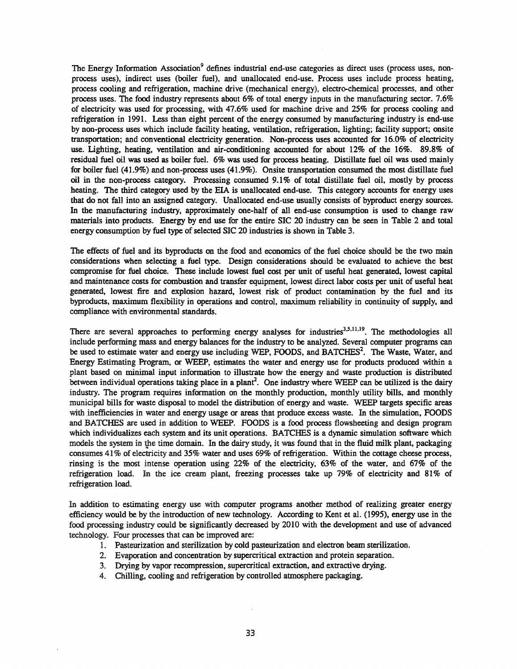The Energy Information Association<sup>9</sup> defines industrial end-use categories as direct uses (process uses, nonprocess uses), indirect uses (boiler fuel), and unallocated. end-use. Process uses include process heating, process cooling and refrigeration, machine drive (mechanical energy), electro-chemical processes, and other process uses. The food industry represents about 6% of total energy inputs in the manufacturing sector. 7.6% of electricity was used for processing, with 47.6% used for machine drive and 25% for process cooling and refrigeration in 1991. Less than eight percent of the energy consumed by manufacturing industry is end-use by non-process uses which include facility heating, ventilation, refrigeration, lighting; facility support; onsite transportation; and conventional electricity generation. Non-process uses accounted for 16.0% of electricity use. lighting, heating, ventilation and air-conditioning accounted for about 12% of the 16%. 89.8% of residual fuel oil was used as boiler fuel. 6% was used for process heating. Distillate fuel oil was used mainly for boiler fuel (41.9%) and non-process uses (41.9%). Onsite transportation consumed the most distillate fuel oil in the non-process category. Processing consumed 9.1% of total distillate fuel oil, mostly by process heating. The third category used by the EIA is unallocated end-use. This category accounts for energy uses that do not fall into an assigned category. Unallocated end-use usually consists of byproduct energy sources. In the manufacturing industry, approximately one-half of all end-use consumption is used to change raw materials into products. Energy by end use for the entire SIC 20 industry can be seen in Table 2 and total energy consumption by fuel type of selected SIC 20 industries is shown in Table 3.

The effects of fuel and its byproducts on the food and economics of the fuel choice should be the two main considerations when selecting a fuel type. Design considerations should be evaluated to achieve the best compromise for fuel choice. These include lowest fuel cost per unit of useful heat generated, lowest capital and maintenance costs for combustion and transfer equipment, lowest direct labor costs per unit of useful heat generated, lowest fire and explosion hazard, lowest risk of product contamination by the fuel and its byproducts, maximum flexibility in operations and control, maximum reliability in continuity of supply, and compliance with environmental standards.

There are several approaches to performing energy analyses for industries<sup>3,5,11,19</sup>. The methodologies all include performing mass and energy balances for the industry to be analyzed. Several computer programs can be used to estimate water and energy use including WEP, FOODS, and BATCHES<sup>2</sup>. The Waste, Water, and Energy Estimating Program, or WEEP, estimates the water and energy use for products produced within a plant based on minimal input information to illustrate how the energy and waste production is distributed between individual operations taking place in a plant<sup>2</sup>. One industry where WEEP can be utilized is the dairy industry. The program requires information on the monthly production, monthly utility bills, and monthly municipal bills for waste disposal to model the distribution of energy and waste. WEEP targets specific areas with inefficiencies in water and energy usage or areas that produce excess waste. In the simulation, FOODS and BATCHES are used in addition to WEEP. FOODS is a food process flowsheeting and design program which individualizes each system and its unit operations. BATCHES is a dynamic simulation software which models the system in the time domain. In the dairy study, it was found that in the fluid milk plant, packaging consumes 41% of electricity and 35% water and uses 69% of refrigeration. Within the cottage cheese process, rinsing is the most intense operation using 22% of the electricity, 63% of the water, and 67% of the refrigeration load. In the ice cream plant, freezing processes take up 79% of electricity and 81% of refrigeration load.

In addition to estimating energy use with computer programs another method of realizing greater energy efficiency would be by the introduction of new technology. According to Kent et al. (1995), energy use in the food processing industry could be significantly decreased by 2010 with the development and use of advanced technology.. Four processes that can be improved are:

- 1. Pasteurization and sterilization by cold pasteurization and electron beam sterilization.
- 2. Evaporation and concentration by supercritical extraction and protein separation.
- 3. Drying by vapor recompression, supercritical extraction, and extractive drying.
- 4.. Chilling, cooling and refrigeration by controlled atmosphere packaging.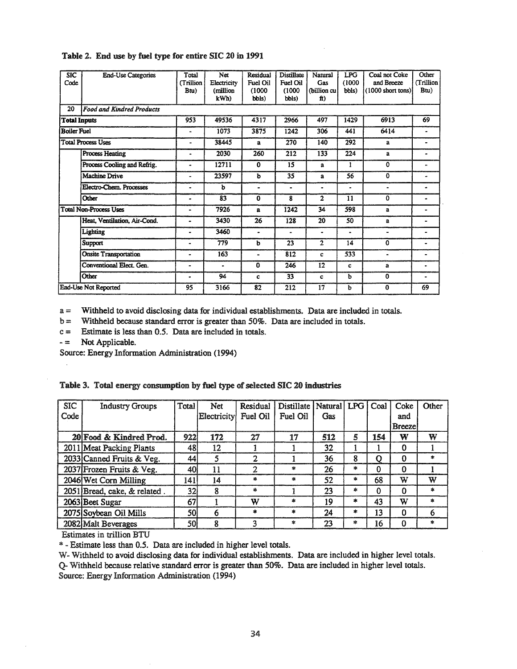| <b>SIC</b><br>Code  | <b>End-Use Categories</b>        | Total<br><b>Trillion</b><br>Btu) | Net<br>Electricity<br>(million<br>kWh) | Residual<br>Fuel Oil<br>(1000)<br>bbls) | Distillate<br><b>Fuel Oil</b><br>(1000)<br>bbls) | Natural<br>Gas<br>(billion cu<br>ft) | <b>LPG</b><br>(1000)<br>bbls) | Coal not Coke<br>and Breeze<br>$(1000 \text{ short tons})$ | Other<br><b>Trillion</b><br>Btu) |
|---------------------|----------------------------------|----------------------------------|----------------------------------------|-----------------------------------------|--------------------------------------------------|--------------------------------------|-------------------------------|------------------------------------------------------------|----------------------------------|
| 20                  | <b>Food and Kindred Products</b> |                                  |                                        |                                         |                                                  |                                      |                               |                                                            |                                  |
| <b>Total Inputs</b> |                                  | 953                              | 49536                                  | 4317                                    | 2966                                             | 497                                  | 1429                          | 6913                                                       | 69                               |
| <b>Boiler Fuel</b>  |                                  |                                  | 1073                                   | 3875                                    | 1242                                             | 306                                  | 441                           | 6414                                                       | ۰                                |
|                     | <b>Total Process Uses</b>        | -                                | 38445                                  | $\mathbf{a}$                            | 270                                              | 140                                  | 292                           | a                                                          | ۰                                |
|                     | Process Heating                  |                                  | 2030                                   | 260                                     | 212                                              | 133                                  | 224                           | a                                                          |                                  |
|                     | Process Cooling and Refrig.      | $\blacksquare$                   | 12711                                  | 0                                       | 15                                               | a                                    | 1                             | 0                                                          |                                  |
|                     | <b>Machine Drive</b>             | -                                | 23597                                  | ь                                       | 35                                               | a                                    | 56                            | 0                                                          | ۰                                |
|                     | Electro-Chem. Processes          |                                  | b                                      | $\blacksquare$                          | $\bullet$                                        |                                      | $\bullet$                     | ۰                                                          | ٠                                |
|                     | Other                            |                                  | 83                                     | $\Omega$                                | 8                                                | $\overline{2}$                       | 11                            | 0                                                          | ۰                                |
|                     | Total Non-Process Uses           | ۰                                | 7926                                   | a                                       | 1242                                             | 34                                   | 598                           | a                                                          | ۰                                |
|                     | Heat, Ventilation, Air-Cond.     |                                  | 3430                                   | 26                                      | 128                                              | 20                                   | 50                            | a                                                          |                                  |
|                     | Lighting                         | -                                | 3460                                   | $\overline{\phantom{0}}$                | ۰                                                |                                      | $\blacksquare$                | $\blacksquare$                                             |                                  |
|                     | Support                          | $\bullet$                        | 779                                    | b                                       | 23                                               | $\overline{2}$                       | 14                            | 0                                                          | $\blacksquare$                   |
|                     | <b>Onsite Transportation</b>     | ۰                                | 163                                    | $\overline{a}$                          | 812                                              | c                                    | 533                           | $\ddot{\phantom{1}}$                                       |                                  |
|                     | Conventional Elect. Gen.         |                                  | $\bullet$                              | 0                                       | 246                                              | 12                                   | c                             | a                                                          | ۰                                |
|                     | Other                            | ۰                                | 94                                     | c                                       | 33                                               | c                                    | b                             | $\mathbf 0$                                                | -                                |
|                     | End-Use Not Reported             | 95                               | 3166                                   | 82                                      | 212                                              | 17                                   | ь                             | $\bf{0}$                                                   | 69                               |

### Table 2. End use by fuel type for entire SIC 20 in 1991

a = Withheld to avoid disclosing data for individual establishments. Data are included in totals.

b = Withheld because standard error is greater than 50%. Data are included in totals.

 $c =$  Estimate is less than 0.5. Data are included in totals.<br> $- =$  Not Applicable.

Not Applicable.

Source: Energy Information Administration (1994)

|  |  |  | Table 3. Total energy consumption by fuel type of selected SIC 20 industries |  |  |  |  |  |  |
|--|--|--|------------------------------------------------------------------------------|--|--|--|--|--|--|
|--|--|--|------------------------------------------------------------------------------|--|--|--|--|--|--|

| <b>SIC</b> | <b>Industry Groups</b>       | Total | Net         | Residual                | Distillate   Natural   LPG |     |               | Coal     | Coke          | Other        |
|------------|------------------------------|-------|-------------|-------------------------|----------------------------|-----|---------------|----------|---------------|--------------|
| Code       |                              |       | Electricity | Fuel Oil                | Fuel Oil                   | Gas |               |          | and           |              |
|            |                              |       |             |                         |                            |     |               |          | <b>Breeze</b> |              |
|            | 20 Food & Kindred Prod.      | 922   | 172         | 27                      | 17                         | 512 | 5             | 154      | W             | W            |
|            | 2011 Meat Packing Plants     | 481   | 12          |                         |                            | 32  |               |          | 0             |              |
|            | 2033 Canned Fruits & Veg.    | 44    | 5           | $\mathcal{D}$           |                            | 36  | 8             | Ω        | 0             | $\star$      |
|            | 2037 Frozen Fruits & Veg.    | 40    | 11          | 2                       | sk.                        | 26  | ×.            | O        | O             |              |
|            | 2046 Wet Corn Milling        | 141   | 14          | 水.                      | 出                          | 52  | 家             | 68       | w             | W            |
|            | 2051 Bread, cake, & related. | 32    | 8           | $\mathbf{a}_\mathrm{c}$ |                            | 23  | $\frac{1}{2}$ | $\Omega$ | O             | sk.          |
|            | 2063 Beet Sugar              | 67    |             | W                       | *                          | 19  | $\ast$        | 43       | W             | $\star$      |
|            | 2075 Soybean Oil Mills       | 50    | 6           | ж                       | 案                          | 24  | $\ast$        | 13       | 0             | 6            |
|            | 2082 Malt Beverages          | 50    | 8           | ٩                       | $\mathbf{x}$               | 23  | 案             | 16       | 0             | $\mathbf{x}$ |

Estimates in trillion BTU

\* - Estimate less than 0.5. Data are included in higher level totals.

w- Withheld to avoid disclosing data for individual establishments. Data are included in higher level totals. Q- Withheld because relative standard error is greater than 50%. Data are included in higher level totals. Source: Energy Information Administration (1994)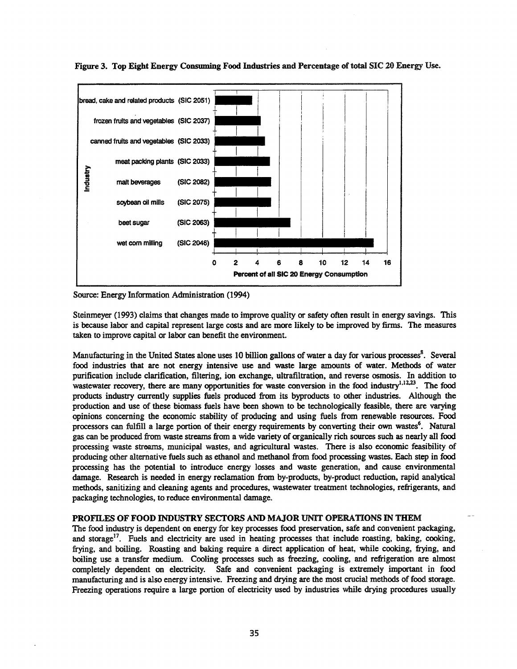

Figure 3. Top Eight Energy Consuming Food Industries and Percentage of total SIC 20 Energy Use.

Source: Energy Information Administration (1994)

Steinmeyer (1993) claims that changes made to improve quality or safety often result in energy savings. This is because labor and capital represent large costs and are more likely to be improved by firms. The measures taken to improve capital or labor can benefit the environment.

Manufacturing in the United States alone uses 10 billion gallons of water a day for various processes<sup>8</sup>. Several food industries that are not energy intensive use and waste large amounts of water. Methods of water purification include clarification, filtering, ion exchange, ultrafiltration, and reverse osmosis. In addition to wastewater recovery, there are many opportunities for waste conversion in the food industry<sup>1,12,23</sup>. The food products industry currently supplies fuels produced from its byproducts to other industries. Although the production and use of these biomass fuels have been shown to be technologically feasible, there are varying opinions concerning the economic stability of producing and using fuels from renewable resources. Food processors can fulfill a large portion of their energy requirements by converting their own wastes<sup>6</sup>. Natural gas can be produced from waste streams from a wide variety of organically rich sources such as nearly all food processing waste streams, municipal wastes, and agricultural wastes. There is also economic feasibility of producing other alternative fuels such as ethanol and methanol from food processing wastes. Each step in food processing has the potential to introduce energy losses and waste generation, and cause environmental damage. Research is needed in energy reclamation from by-products, by-product reduction, rapid analytical methods, sanitizing and cleaning agents and procedures, wastewater treatment technologies, refrigerants, and packaging technologies, to reduce environmental damage.

### PROFILES OF FOOD INDUSTRY SECfORS AND MAJOR UNIT OPERATIONS IN THEM

The food industry is dependent on energy for key processes food preservation, safe and convenient packaging, and storage<sup>17</sup>. Fuels and electricity are used in heating processes that include roasting, baking, cooking, frying, and boiling. Roasting and baking require a direct application of heat, while cooking, frying, and boiling use a transfer medium. Cooling processes such as freezing, cooling, and refrigeration are almost completely dependent on electricity. Safe and convenient packaging is extremely important in food manufacturing and is also energy intensive. Freezing and drying are the most crucial methods of food storage. Freezing operations require a large portion of electricity used by industries while drying procedures usually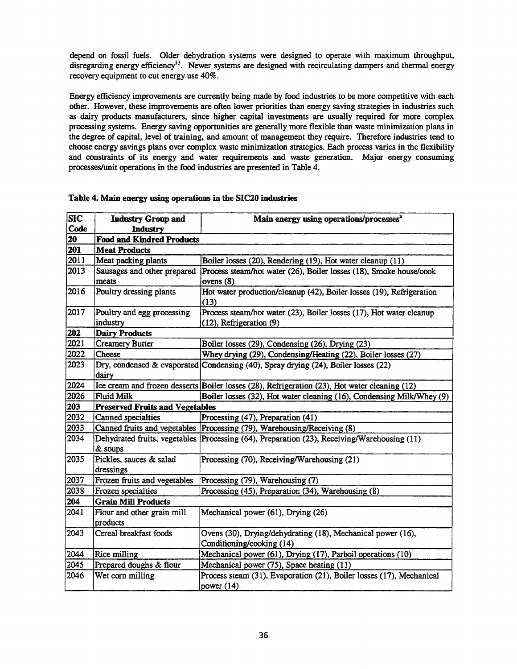depend on fossil fuels. Older dehydration systems were designed to operate with maximum throughput, disregarding energy efficiency<sup>13</sup>. Newer systems are designed with recirculating dampers and thermal energy recovery equipment to cut energy use 40%.

Energy efficiency improvements are currently being made by food industries to be more competitive with each other. However, these improvements are often lower priorities than energy saving strategies in industries such as dairy products manufacturers, since higher capital investments are usually required for more complex processing systems. Energy saving opportunities are generally more flexible than waste minimization plans in the degree of capital, level of training, and amount of management they require. Therefore industries tend to choose energy savings plans over complex waste minimization strategies. Each process varies in the flexibility and constraints of its energy and water requirements and waste generation. Major energy consuming processes/unit operations in the food industries are presented in Table 4.

| <b>SIC</b> | <b>Industry Group and</b>              | Main energy using operations/processes <sup>2</sup>                                           |
|------------|----------------------------------------|-----------------------------------------------------------------------------------------------|
| Code       | <b>Industry</b>                        |                                                                                               |
| 20         | <b>Food and Kindred Products</b>       |                                                                                               |
| 201        | <b>Meat Products</b>                   |                                                                                               |
| 2011       | Meat packing plants                    | Boiler losses (20), Rendering (19), Hot water cleanup (11)                                    |
| 2013       | Sausages and other prepared            | Process steam/hot water (26), Boiler losses (18), Smoke house/cook                            |
|            | meats                                  | ovens $(8)$                                                                                   |
| 2016       | Poultry dressing plants                | Hot water production/cleanup (42), Boiler losses (19), Refrigeration<br>(13)                  |
| 2017       | Poultry and egg processing             | Process steam/hot water (23), Boiler losses (17), Hot water cleanup                           |
|            | industry                               | (12), Refrigeration (9)                                                                       |
| 202        | <b>Dairy Products</b>                  |                                                                                               |
| 2021       | <b>Creamery Butter</b>                 | Boiler losses (29), Condensing (26), Drying (23)                                              |
| 2022       | Cheese                                 | Whey drying (29), Condensing/Heating (22), Boiler losses (27)                                 |
| 2023       | dairy                                  | Dry, condensed & evaporated Condensing (40), Spray drying (24), Boiler losses (22)            |
| 2024       |                                        | Ice cream and frozen desserts Boiler losses (28), Refrigeration (23), Hot water cleaning (12) |
| 2026       | <b>Fluid Milk</b>                      | Boiler losses (32), Hot water cleaning (16), Condensing Milk/Whey (9)                         |
| 203        | <b>Preserved Fruits and Vegetables</b> |                                                                                               |
| 2032       | Canned specialties                     | Processing (47), Preparation (41)                                                             |
| 2033       |                                        | Canned fruits and vegetables  Processing (79), Warehousing/Receiving (8)                      |
| 2034       | & soups                                | Dehydrated fruits, vegetables Processing (64), Preparation (23), Receiving/Warehousing (11)   |
| 2035       | Pickles, sauces & salad<br>dressings   | Processing (70), Receiving/Warehousing (21)                                                   |
| 2037       | Frozen fruits and vegetables           | Processing (79), Warehousing (7)                                                              |
| 2038       | Frozen specialties                     | Processing (45), Preparation (34), Warehousing (8)                                            |
| 204        | <b>Grain Mill Products</b>             |                                                                                               |
| 2041       | Flour and other grain mill             | Mechanical power (61), Drying (26)                                                            |
|            | products                               |                                                                                               |
| 2043       | Cereal breakfast foods                 | Ovens (30), Drying/dehydrating (18), Mechanical power (16),<br>Conditioning/cooking (14)      |
| 2044       | Rice milling                           | Mechanical power (61), Drying (17), Parboil operations (10)                                   |
| 2045       | Prepared doughs & flour                | Mechanical power (75), Space heating (11)                                                     |
| 2046       | Wet corn milling                       | Process steam (31), Evaporation (21), Boiler losses (17), Mechanical<br>power $(14)$          |

### Table 4. Main energy using operations in the SIC20 industries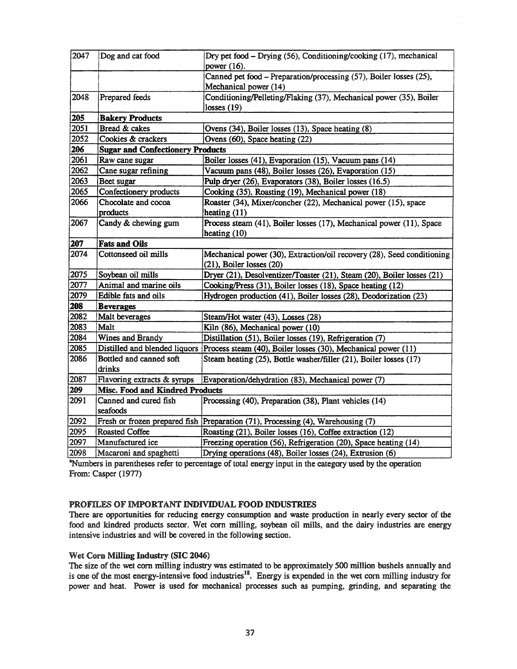| 2047 | Dog and cat food                        | Dry pet food - Drying (56), Conditioning/cooking (17), mechanical                           |
|------|-----------------------------------------|---------------------------------------------------------------------------------------------|
|      |                                         | power (16).                                                                                 |
|      |                                         | Canned pet food - Preparation/processing (57), Boiler losses (25),                          |
|      |                                         | Mechanical power (14)                                                                       |
| 2048 | Prepared feeds                          | Conditioning/Pelleting/Flaking (37), Mechanical power (35), Boiler                          |
|      |                                         | losses $(19)$                                                                               |
| 205  | <b>Bakery Products</b>                  |                                                                                             |
| 2051 | Bread & cakes                           | Ovens (34), Boiler losses (13), Space heating (8)                                           |
| 2052 | Cookies & crackers                      | Ovens (60), Space heating (22)                                                              |
| 206  | <b>Sugar and Confectionery Products</b> |                                                                                             |
| 2061 | Raw cane sugar                          | Boiler losses (41), Evaporation (15), Vacuum pans (14)                                      |
| 2062 | Cane sugar refining                     | Vacuum pans (48), Boiler losses (26), Evaporation (15)                                      |
| 2063 | Beet sugar                              | Pulp dryer (26), Evaporators (38), Boiler losses (16.5)                                     |
| 2065 | Confectionery products                  | Cooking (35), Roasting (19), Mechanical power (18)                                          |
| 2066 | Chocolate and cocoa                     | Roaster (34), Mixer/concher (22), Mechanical power (15), space                              |
|      | products                                | heating $(11)$                                                                              |
| 2067 | Candy & chewing gum                     | Process steam (41), Boiler losses (17), Mechanical power (11), Space                        |
|      |                                         | heating (10)                                                                                |
| 207  | <b>Fats and Oils</b>                    |                                                                                             |
| 2074 | Cottonseed oil mills                    | Mechanical power (30), Extraction/oil recovery (28), Seed conditioning                      |
|      |                                         | $(21)$ , Boiler losses $(20)$                                                               |
| 2075 | Soybean oil mills                       | Dryer (21), Desolventizer/Toaster (21), Steam (20), Boiler losses (21)                      |
| 2077 | Animal and marine oils                  | Cooking/Press (31), Boiler losses (18), Space heating (12)                                  |
| 2079 | Edible fats and oils                    | Hydrogen production (41), Boiler losses (28), Deodorization (23)                            |
| 208  | <b>Beverages</b>                        |                                                                                             |
| 2082 | Malt beverages                          | Steam/Hot water (43), Losses (28)                                                           |
| 2083 | Malt                                    | Kiln (86), Mechanical power (10)                                                            |
| 2084 | Wines and Brandy                        | Distillation (51), Boiler losses (19), Refrigeration (7)                                    |
| 2085 |                                         | Distilled and blended liquors Process steam (40), Boiler losses (30), Mechanical power (11) |
| 2086 | Bottled and canned soft                 | Steam heating (25), Bottle washer/filler (21), Boiler losses (17)                           |
|      | drinks                                  |                                                                                             |
| 2087 | Flavoring extracts & syrups             | Evaporation/dehydration (83), Mechanical power (7)                                          |
| 209  | <b>Misc. Food and Kindred Products</b>  |                                                                                             |
| 2091 | Canned and cured fish                   | Processing (40), Preparation (38), Plant vehicles (14)                                      |
|      | seafoods                                |                                                                                             |
| 2092 |                                         | Fresh or frozen prepared fish Preparation (71), Processing (4), Warehousing (7)             |
| 2095 | <b>Roasted Coffee</b>                   | Roasting (21), Boiler losses (16), Coffee extraction (12)                                   |
| 2097 | Manufactured ice                        | Freezing operation (56), Refrigeration (20), Space heating (14)                             |
| 2098 | Macaroni and spaghetti                  | Drying operations (48), Boiler losses (24), Extrusion (6)                                   |

<sup>a</sup>Numbers in parentheses refer to percentage of total energy input in the category used by the operation From: Casper (1977)

## PROFILES OF IMPORTANT INDIVIDUAL FOOD INDUSTRIES

There are opportunities for reducing energy consumption and waste production in nearly every sector of the food and kindred products sector. Wet com milling, soybean oil mills, and the dairy industries are energy intensive industries and will be covered in the following section.

## Wet Corn Milling Industry (SIC 2046)

The size of the wet corn milling industry was estimated to be approximately 500 million bushels annually and is one of the most energy-intensive food industries<sup>18</sup>. Energy is expended in the wet corn milling industry for power and heat. Power is used for mechanical processes such as pumping, grinding, and separating the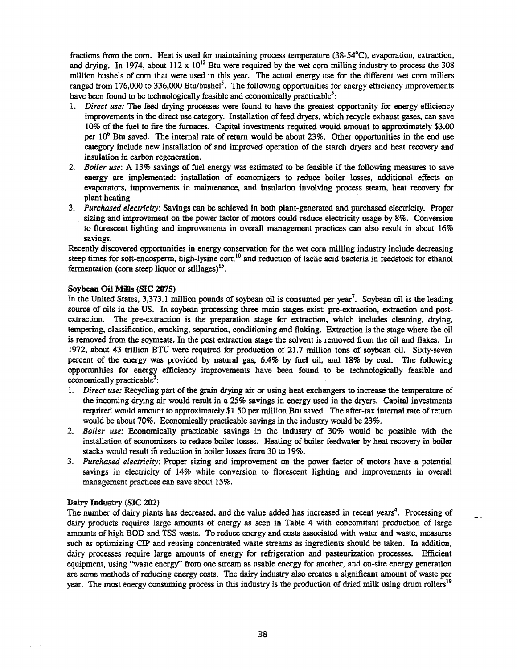fractions from the com. Heat is used for maintaining process temperature (38-54°C), evaporation, extraction, and drying. In 1974, about 112 x  $10^{12}$  Btu were required by the wet corn milling industry to process the 308 million bushels of com that were used in this year. The actual energy use for the different wet corn millers ranged from 176,000 to 336,000 Btu/bushel<sup>5</sup>. The following opportunities for energy efficiency improvements have been found to be technologically feasible and economically practicable<sup>5</sup>:

- *1. Direct use:* The feed drying processes were found to have the greatest opportunity for energy efficiency improvements in the direct use category. Installation of feed dryers, which recycle exhaust gases, can save 10% of the fuel to fire the furnaces. Capital investments required would amount to approximately \$3.00 per  $10<sup>6</sup>$  Btu saved. The internal rate of return would be about 23%. Other opportunities in the end use category include new installation of and improved operation of the starch dryers and heat recovery and insulation in carbon regeneration.
- *2. Boiler* use: A 13% savings of fuel energy was estimated to be feasible if the following measures to save energy are implemented: installation of economizers to reduce boiler losses, additional effects on evaporators, improvements in maintenance, and insulation involving process steam, heat recovery for plant heating .
- *3. Purchased electricity:* Savings can be achieved in both plant-generated and purchased electricity. Proper sizing and improvement on the power factor of motors could reduce electricity usage by 8%. Conversion to florescent lighting and improvements in overall management practices can also result in about 16% savings.

Recently discovered opportunities in energy conservation for the wet com milling industry include decreasing steep times for soft-endosperm, high-lysine corn<sup>10</sup> and reduction of lactic acid bacteria in feedstock for ethanol fermentation (corn steep liquor or stillages)<sup>15</sup>.

#### Soybean Oil Mills (SIC 2075)

In the United States, 3,373.1 million pounds of soybean oil is consumed per year'. Soybean oil is the leading source of oils in the US. In soybean processing three main stages exist: pre-extraction, extraction and postextraction. The pre-extraction is the preparation stage for extraction, which includes cleaning, drying, tempering, classification, cracking, separation, conditioning and flaking. Extraction is the stage where the oil is removed from the soymeats. In the post extraction stage the solvent is removed from the oil and flakes. In 1972, about 43 trillion BTU were required for production of 21.7 million tons of soybean oil. Sixty-seven percent of the energy was provided by natural gas, 6.4% by fuel oil, and 18% by coal. The following opportunities for energy efficiency improvements have been found to be technologically feasible and  $economically practical be<sup>5</sup>$ :

- 1. *Direct use:* Recycling part of the grain drying air or using heat exchangers to increase the temperature of the incoming drying air would result in a 25% savings in energy used in the dryers. Capital investments required would amount to approximately \$1.50 per million Btu saved. The after-tax internal rate of return would be about 70%. Economically practicable savings in the industry would be 23%.
- *2.. Boiler use:* Economically practicable savings in the industry of 30% would be possible with the installation of economizers to reduce boiler losses. Heating of boiler feedwater by heat recovery in boiler stacks would result in reduction in boiler losses from 30 to 19%.
- *3. Purchased electricity:* Proper sizing and improvement on the power factor of motors have a potential savings in electricity of 14% while conversion to florescent lighting and improvements in overall management practices can save about 15%.

#### Dairy Industry (SIC 202)

The number of dairy plants has decreased, and the value added has increased in recent years<sup>4</sup>. Processing of dairy products requires large amounts of energy as seen in Table 4 with concomitant production of large amounts of high BOD and TSS waste. To reduce energy and costs associated with water and waste, measures such as optimizing CIP and reusing concentrated waste streams as ingredients should be taken. In addition, dairy processes require large amounts of energy for refrigeration and pasteurization processes. Efficient equipment, using ''waste energy" from one stream as usable energy for another, and on-site energy generation are some methods ofreducing energy costs. The dairy industry also creates a significant amount of waste per year. The most energy consuming process in this industry is the production of dried milk using drum rollers<sup>19</sup>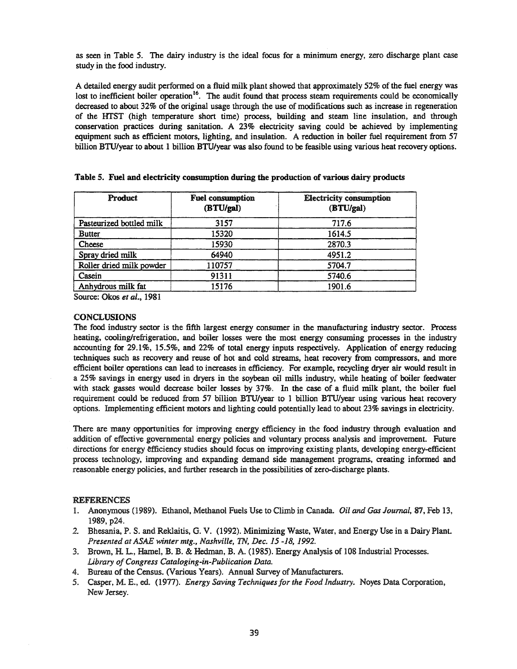as seen in Table 5. The dairy industry is the ideal focus for a minimum energy, zero discharge plant case study in the food industry.

A detailed energy audit performed on a fluid milk plant showed that approximately 52% of the fuel energy was lost to inefficient boiler operation<sup>16</sup>. The audit found that process steam requirements could be economically decreased to about 32% of the original usage through the use of modifications such as increase in regeneration of the HTST (high temperature short time) process, building and steam line insulation, and through conservation practices during sanitation. A 23% electricity saving could be achieved by implementing equipment such as efficient motors, lighting, and insulation. A reduction in boiler fuel requirement from 57 billion BTU/year to about 1 billion BTU/year was also found to be feasible using various heat recovery options.

| Product                  | <b>Fuel consumption</b><br>(BTU/gal) | <b>Electricity consumption</b><br>(BTU/gal) |
|--------------------------|--------------------------------------|---------------------------------------------|
| Pasteurized bottled milk | 3157                                 | 717.6                                       |
| <b>Butter</b>            | 15320                                | 1614.5                                      |
| Cheese                   | 15930                                | 2870.3                                      |
| Spray dried milk         | 64940                                | 4951.2                                      |
| Roller dried milk powder | 110757                               | 5704.7                                      |
| Casein                   | 91311                                | 5740.6                                      |
| Anhydrous milk fat       | 15176                                | 1901.6                                      |

|  |  |  |  |  | Table 5. Fuel and electricity consumption during the production of various dairy products |  |  |
|--|--|--|--|--|-------------------------------------------------------------------------------------------|--|--|
|--|--|--|--|--|-------------------------------------------------------------------------------------------|--|--|

Source: Okos *et aI..,* 1981

#### **CONCLUSIONS**

The food industry sector is the fifth largest energy consumer in the manufacturing industry sector. Process heating, cooling/refrigeration, and boiler losses were the most energy consuming processes in the industry accounting for 29.1%, 15.5%, and 22% of total energy inputs respectively. Application of energy reducing techniques such as recovery and reuse of hot and cold streams, heat recovery from compressors, and more efficient boiler operations can lead to increases in efficiency. For example, recycling dryer air would result in a 25% savings in energy used in dryers in the soybean oil mills industry, while heating of boiler feedwater with stack gasses would decrease boiler losses by 37%. In the case of a fluid milk plant, the boiler fuel requirement could be reduced from 57 billion BTU/year to 1 billion BTU/year using various heat recovery options. Implementing efficient motors and lighting could potentially lead to about 23% savings in electricity.

There are many opportunities for improving energy efficiency in the food industry through evaluation and addition of effective governmental energy policies and voluntary process analysis and improvement. Future directions for energy efficiency studies should focus on improving existing plants, developing energy-efficient process technology, improVing and expanding demand side management programs, creating informed and reasonable energy policies, and further research in the possibilities of zero-discharge plants.

#### REFERENCES

- 1. Anonymous (1989). Ethanol, Methanol Fuels Use to Climb in Canada. *Oil* and *Gas Journal,* 87, Feb 13, 1989, p24.
- 2. Bhesania, P.. S. and Reklaitis, G. V. (1992). Minimizing Waste, Water, and Energy Use in a Dairy Plant. *Presented at AS winter mtg., Nashville, TN, Dec.* 15 -18, 1992.
- 3. Brown, H. L., Hamel, B. B. & Hedman, B. A. (1985). Energy Analysis of 108 Industrial Processes. *library ofCongress Cataloging-in-Publication Data.*
- 4. Bureau of the Census. (Various Years). Annual Survey of Manufacturers.
- 5.. Casper, M. E., 00. (1977). *Energy Saving Techniquesfor the Food Industry.* Noyes Data Corporation, New Jersey.